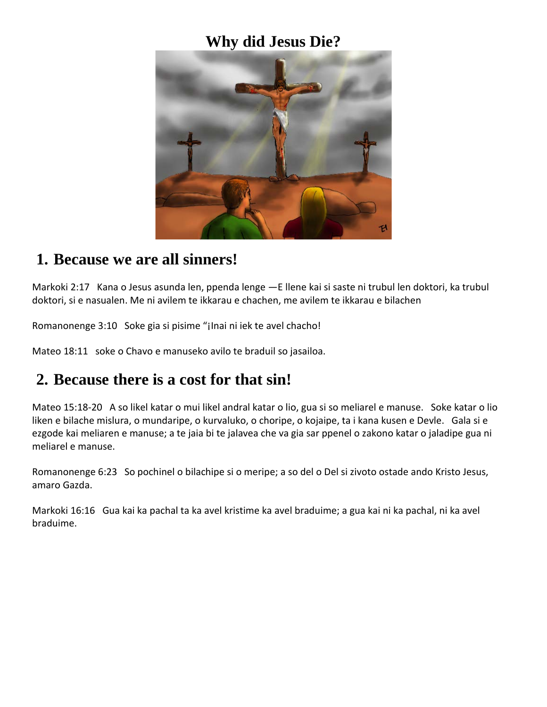## **Why did Jesus Die?**



#### **1. Because we are all sinners!**

Markoki 2:17 Kana o Jesus asunda len, ppenda lenge —E llene kai si saste ni trubul len doktori, ka trubul doktori, si e nasualen. Me ni avilem te ikkarau e chachen, me avilem te ikkarau e bilachen

Romanonenge 3:10 Soke gia si pisime "¡Inai ni iek te avel chacho!

Mateo 18:11 soke o Chavo e manuseko avilo te braduil so jasailoa.

# **2. Because there is a cost for that sin!**

Mateo 15:18-20 A so likel katar o mui likel andral katar o lio, gua si so meliarel e manuse. Soke katar o lio liken e bilache mislura, o mundaripe, o kurvaluko, o choripe, o kojaipe, ta i kana kusen e Devle. Gala si e ezgode kai meliaren e manuse; a te jaia bi te jalavea che va gia sar ppenel o zakono katar o jaladipe gua ni meliarel e manuse.

Romanonenge 6:23 So pochinel o bilachipe si o meripe; a so del o Del si zivoto ostade ando Kristo Jesus, amaro Gazda.

Markoki 16:16 Gua kai ka pachal ta ka avel kristime ka avel braduime; a gua kai ni ka pachal, ni ka avel braduime.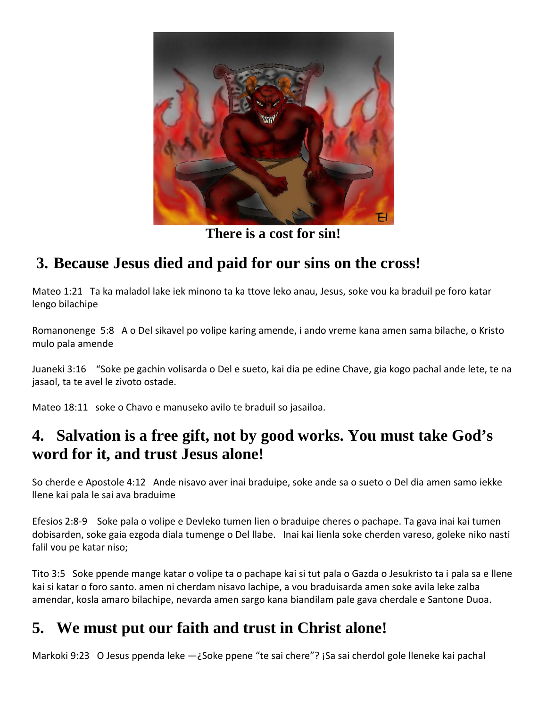

**There is a cost for sin!**

# **3. Because Jesus died and paid for our sins on the cross!**

Mateo 1:21 Ta ka maladol lake iek minono ta ka ttove leko anau, Jesus, soke vou ka braduil pe foro katar lengo bilachipe

Romanonenge 5:8 A o Del sikavel po volipe karing amende, i ando vreme kana amen sama bilache, o Kristo mulo pala amende

Juaneki 3:16 "Soke pe gachin volisarda o Del e sueto, kai dia pe edine Chave, gia kogo pachal ande lete, te na jasaol, ta te avel le zivoto ostade.

Mateo 18:11 soke o Chavo e manuseko avilo te braduil so jasailoa.

## **4. Salvation is a free gift, not by good works. You must take God's word for it, and trust Jesus alone!**

So cherde e Apostole 4:12 Ande nisavo aver inai braduipe, soke ande sa o sueto o Del dia amen samo iekke llene kai pala le sai ava braduime

Efesios 2:8-9 Soke pala o volipe e Devleko tumen lien o braduipe cheres o pachape. Ta gava inai kai tumen dobisarden, soke gaia ezgoda diala tumenge o Del llabe. Inai kai lienla soke cherden vareso, goleke niko nasti falil vou pe katar niso;

Tito 3:5 Soke ppende mange katar o volipe ta o pachape kai si tut pala o Gazda o Jesukristo ta i pala sa e llene kai si katar o foro santo. amen ni cherdam nisavo lachipe, a vou braduisarda amen soke avila leke zalba amendar, kosla amaro bilachipe, nevarda amen sargo kana biandilam pale gava cherdale e Santone Duoa.

# **5. We must put our faith and trust in Christ alone!**

Markoki 9:23 O Jesus ppenda leke —¿Soke ppene "te sai chere"? ¡Sa sai cherdol gole lleneke kai pachal